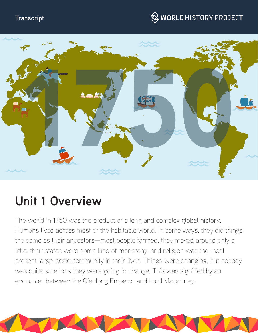## **Transcript**

# $\hspace{0.1cm}\otimes\hspace{0.1cm}$  WORLD HISTORY PROJECT



# **Unit 1 Overview**

The world in 1750 was the product of a long and complex global history. Humans lived across most of the habitable world. In some ways, they did things the same as their ancestors—most people farmed, they moved around only a little, their states were some kind of monarchy, and religion was the most present large-scale community in their lives. Things were changing, but nobody was quite sure how they were going to change. This was signified by an encounter between the Qianlong Emperor and Lord Macartney.

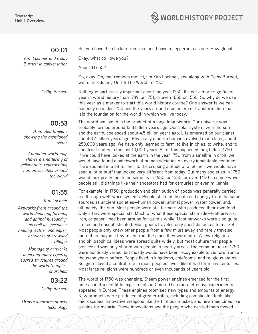

## **00:01**

*Kim Lochner and Colby Burnett in conversation*

So, you have the chicken fried rice and I have a pepperoni calzone. How global.

Okay, what do I owe you?

About \$17.50?

Oh, okay. Oh, that reminds me! Hi, I'm Kim Lochner, and along with Colby Burnett, we're introducing Unit 1: The World in 1750.

*Colby Burnett* Nothing is particularly important about the year 1750. It's not a more significant year in world history than 1749, or 1751, or even 1650 or 1550. So why do we use this year as a marker to start this world history course? One answer is we can honestly consider 1750 and the years around it as an era of transformation that laid the foundation for the world in which we live today.

> The world we live in is the product of a long, long history. Our universe was probably formed around 13.8 billion years ago. Our solar system, with the sun and the earth, coalesced about 4.5 billion years ago. Life emerged on our planet about 3.7 billion years ago. Physically modern humans evolved much later, about 250,000 years ago. We have only learned to farm, to live in cities, to write, and to construct states in the last 10,000 years. All of this happened long before 1750. If we could have looked at the earth in the year 1750 from a satellite in orbit, we would have found a patchwork of human societies on every inhabitable continent. If we zoomed in a bit further, to the cruising altitude of a jetliner, we would have seen a lot of stuff that looked very different from today. But many societies in 1750 would look pretty much the same as in 1650, or 1550, or even 1450. In some ways, people still did things like their ancestors had for centuries or even millennia.

> For example, in 1750, production and distribution of goods was generally carried out through well-worn systems. People still mostly obtained energy from the same sources as ancient societies—human power, animal power, water power, and, ultimately, the sun. Most people were still farmers who produced their own food. Only a few were specialists. Much of what these specialists made—leatherwork, iron, or paper—had been around for quite a while. Most networks were also quite limited and unsophisticated. Most goods traveled only short distances to market. Most people only knew other people from a few miles away and rarely traveled more than maybe a few miles from the place they were born. A few religious and philosophical ideas were spread quite widely, but most culture that people possessed was only shared with people in nearby areas. The communities of 1750 were politically varied, but mostly would have been recognizable to visitors from a thousand years before. People lived in kingdoms, chiefdoms, and religious states. Religion played a central role in most peoples' lives, like it had for many centuries. Most large religions were hundreds or even thousands of years old.

> The world of 1750 was changing. Steam power engines emerged for the first time as inefficient little experiments in China. Then more effective experiments appeared in Europe. These engines promised new types and amounts of energy. New products were produced at greater rates, including complicated tools like microscopes, innovative weapons like the flintlock musket, and new medicines like quinine for malaria. These innovations and the people who carried them moved

> > 2

## **00:53**

*Animated timeline showing the mentioned events* 

*Animated world map shows a smattering of yellow dots, representing human societies around the world*

## **01:55**

#### *Kim Lochner*

*Artworks from around the world depicting farming and animal husbandry, as well as specialists making leather and paper; artworks of crowded villages*

*Montage of artworks depicting many types of sacred structures around the world (temples, churches)*

## **03:22**

*Colby Burnett*

*Drawn diagrams of new technology*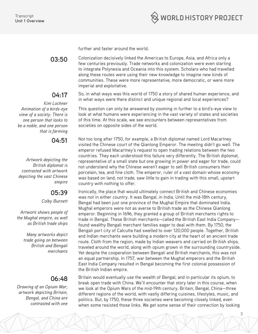

further and faster around the world.

**03:50** Colonization decisively linked the Americas to Europe, Asia, and Africa only a few centuries previously. Trade networks and colonization were even starting to integrate Polynesia and Oceania into this system. Scholars who had travelled along these routes were using their new knowledge to imagine new kinds of communities. These were more representative, more democratic, or were more imperial and exploitative.

> So, in what ways was this world of 1750 a story of shared human experience, and in what ways were there distinct and unique regional and local experiences?

This question can only be answered by zooming in further to a bird's-eye view to look at what humans were experiencing in the vast variety of states and societies of this time. At this scale, we see encounters between representatives from societies on opposite sides of the world.

Not too long after 1750, for example, a British diplomat named Lord Macartney visited the Chinese court of the Qianlong Emperor. The meeting didn't go well. The emperor refused Macartney's request to open trading relations between the two countries. They each understood this failure very differently. The British diplomat, representative of a small state but one growing in power and eager for trade, could not understand why the Chinese weren't eager to sell British consumers their porcelain, tea, and fine cloth. The emperor, ruler of a vast domain whose economy was based on land, not trade, saw little to gain in trading with this small, upstart country with nothing to offer.

Ironically, the place that would ultimately connect British and Chinese economies was not in either country. It was Bengal, in India. Until the mid-18th century, Bengal had been just one province of the Mughal Empire that dominated India. Mughal emperors were not as averse to British trade as the Chinese Qianlong emperor. Beginning in 1696, they granted a group of British merchants rights to trade in Bengal. These British merchants—called the British East India Company found wealthy Bengali merchant families eager to deal with them. By 1750, the Bengali port city of Calcutta had swelled to over 120,000 people. Together, British and Indian merchants were building a modern city at the heart of an ancient trade route. Cloth from the region, made by Indian weavers and carried on British ships, traveled around the world, along with opium grown in the surrounding countryside. Yet despite the cooperation between Bengali and British merchants, this was not an equal partnership. In 1757, war between the Mughal emperors and the British East India Company resulted in Bengal becoming the first colonial possession of the British Indian empire.

Britain would eventually use the wealth of Bengal, and in particular its opium, to break open trade with China. We'll encounter that story later in this course, when we look at the Opium Wars of the mid-19th century. Britain, Bengal, China—three different regions of the world, with vastly differing cuisines, lifestyles, music, and politics. But, by 1750, these three societies were becoming closely linked, even when some resisted those links. We get some sense of their connection by looking

## **04:17**

*Kim Lochner Animation of a birds-eye view of a society. There is one person that looks to be a noble, and one person that is farming*

**04:51** 

*Artwork depicting the British diplomat is contrasted with artwork depicting the vast Chinese empire*

## **05:39**

*Colby Burnett*

*Artwork shows people of the Mughal empire, as well as British trade ships*

> *Many artworks depict trade going on between British and Bengali merchants*

## **06:48**

*Drawing of an Opium War; artwork depicting Britain, Bengal, and China are contrasted with one*